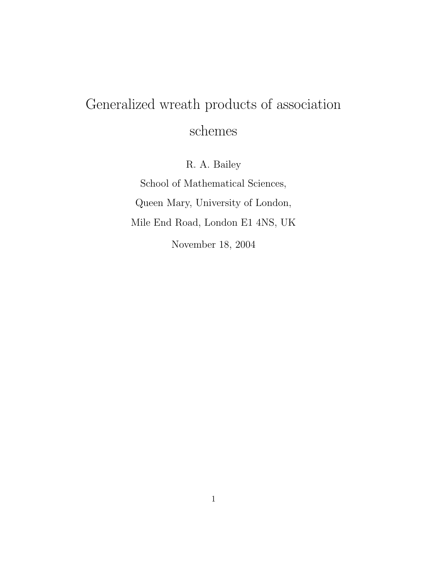# Generalized wreath products of association schemes

R. A. Bailey

School of Mathematical Sciences, Queen Mary, University of London, Mile End Road, London E1 4NS, UK

November 18, 2004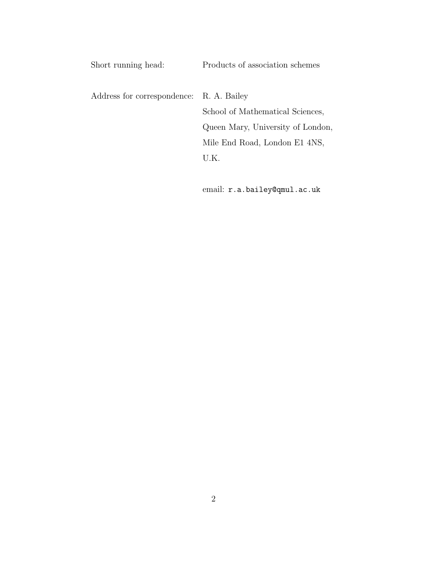| Short running head:                      | Products of association schemes   |
|------------------------------------------|-----------------------------------|
| Address for correspondence: R. A. Bailey |                                   |
|                                          | School of Mathematical Sciences,  |
|                                          | Queen Mary, University of London, |
|                                          | Mile End Road, London E1 4NS,     |
|                                          | U.K.                              |
|                                          |                                   |

email: r.a.bailey@qmul.ac.uk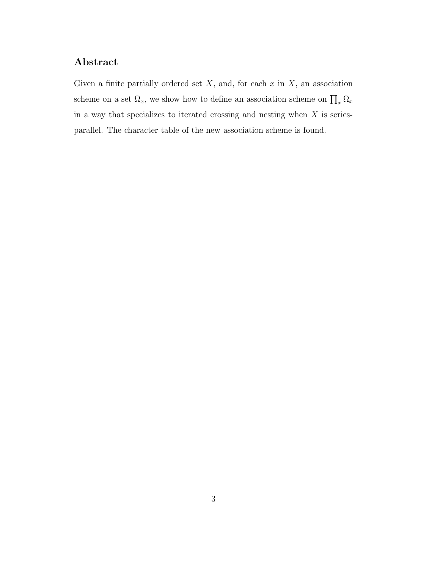#### Abstract

Given a finite partially ordered set  $X$ , and, for each  $x$  in  $X$ , an association scheme on a set  $\Omega_x$ , we show how to define an association scheme on  $\prod_x \Omega_x$ in a way that specializes to iterated crossing and nesting when  $X$  is seriesparallel. The character table of the new association scheme is found.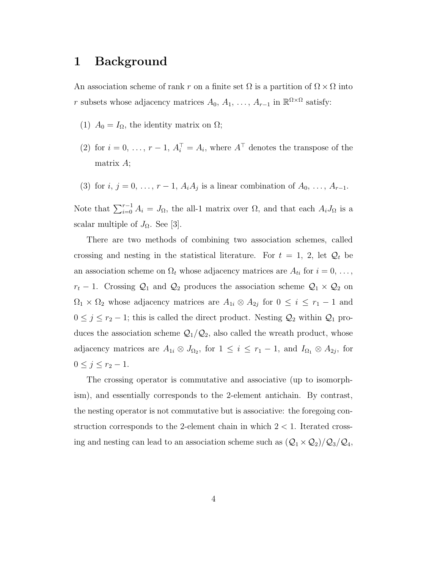### 1 Background

An association scheme of rank r on a finite set  $\Omega$  is a partition of  $\Omega \times \Omega$  into r subsets whose adjacency matrices  $A_0, A_1, \ldots, A_{r-1}$  in  $\mathbb{R}^{\Omega \times \Omega}$  satisfy:

- (1)  $A_0 = I_\Omega$ , the identity matrix on  $\Omega$ ;
- (2) for  $i = 0, \ldots, r 1, A_i^{\top} = A_i$ , where  $A^{\top}$  denotes the transpose of the matrix A;
- (3) for  $i, j = 0, \ldots, r-1, A_i A_j$  is a linear combination of  $A_0, \ldots, A_{r-1}$ .

Note that  $\sum_{i=0}^{r-1} A_i = J_{\Omega}$ , the all-1 matrix over  $\Omega$ , and that each  $A_i J_{\Omega}$  is a scalar multiple of  $J_{\Omega}$ . See [3].

There are two methods of combining two association schemes, called crossing and nesting in the statistical literature. For  $t = 1, 2$ , let  $\mathcal{Q}_t$  be an association scheme on  $\Omega_t$  whose adjacency matrices are  $A_{ti}$  for  $i = 0, \ldots,$  $r_t$  − 1. Crossing  $\mathcal{Q}_1$  and  $\mathcal{Q}_2$  produces the association scheme  $\mathcal{Q}_1 \times \mathcal{Q}_2$  on  $\Omega_1 \times \Omega_2$  whose adjacency matrices are  $A_{1i} \otimes A_{2j}$  for  $0 \le i \le r_1 - 1$  and  $0 \leq j \leq r_2 - 1$ ; this is called the direct product. Nesting  $\mathcal{Q}_2$  within  $\mathcal{Q}_1$  produces the association scheme  $\mathcal{Q}_1/\mathcal{Q}_2$ , also called the wreath product, whose adjacency matrices are  $A_{1i} \otimes J_{\Omega_2}$ , for  $1 \leq i \leq r_1 - 1$ , and  $I_{\Omega_1} \otimes A_{2j}$ , for  $0 \le j \le r_2 - 1.$ 

The crossing operator is commutative and associative (up to isomorphism), and essentially corresponds to the 2-element antichain. By contrast, the nesting operator is not commutative but is associative: the foregoing construction corresponds to the 2-element chain in which  $2 < 1$ . Iterated crossing and nesting can lead to an association scheme such as  $(Q_1 \times Q_2)/Q_3/Q_4$ ,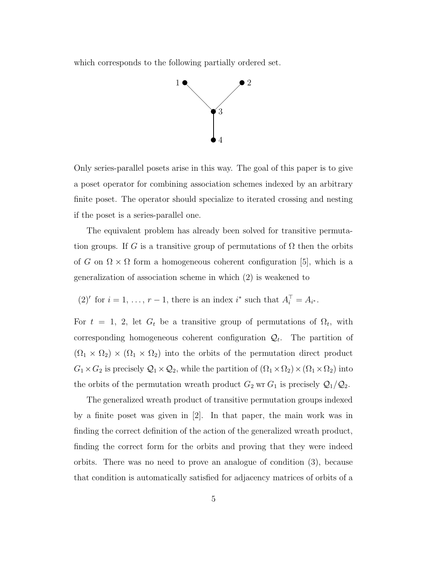which corresponds to the following partially ordered set.



Only series-parallel posets arise in this way. The goal of this paper is to give a poset operator for combining association schemes indexed by an arbitrary finite poset. The operator should specialize to iterated crossing and nesting if the poset is a series-parallel one.

The equivalent problem has already been solved for transitive permutation groups. If G is a transitive group of permutations of  $\Omega$  then the orbits of G on  $\Omega \times \Omega$  form a homogeneous coherent configuration [5], which is a generalization of association scheme in which (2) is weakened to

(2)' for 
$$
i = 1, ..., r - 1
$$
, there is an index  $i^*$  such that  $A_i^{\top} = A_{i^*}$ .

For  $t = 1, 2$ , let  $G_t$  be a transitive group of permutations of  $\Omega_t$ , with corresponding homogeneous coherent configuration  $\mathcal{Q}_t$ . The partition of  $(\Omega_1 \times \Omega_2) \times (\Omega_1 \times \Omega_2)$  into the orbits of the permutation direct product  $G_1 \times G_2$  is precisely  $\mathcal{Q}_1 \times \mathcal{Q}_2$ , while the partition of  $(\Omega_1 \times \Omega_2) \times (\Omega_1 \times \Omega_2)$  into the orbits of the permutation wreath product  $G_2$  wr  $G_1$  is precisely  $\mathcal{Q}_1/\mathcal{Q}_2$ .

The generalized wreath product of transitive permutation groups indexed by a finite poset was given in [2]. In that paper, the main work was in finding the correct definition of the action of the generalized wreath product, finding the correct form for the orbits and proving that they were indeed orbits. There was no need to prove an analogue of condition (3), because that condition is automatically satisfied for adjacency matrices of orbits of a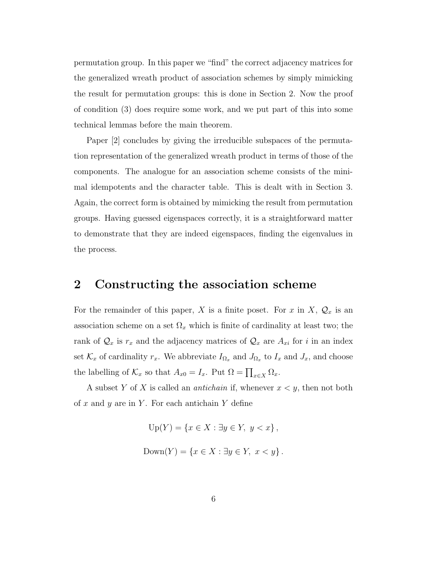permutation group. In this paper we "find" the correct adjacency matrices for the generalized wreath product of association schemes by simply mimicking the result for permutation groups: this is done in Section 2. Now the proof of condition (3) does require some work, and we put part of this into some technical lemmas before the main theorem.

Paper [2] concludes by giving the irreducible subspaces of the permutation representation of the generalized wreath product in terms of those of the components. The analogue for an association scheme consists of the minimal idempotents and the character table. This is dealt with in Section 3. Again, the correct form is obtained by mimicking the result from permutation groups. Having guessed eigenspaces correctly, it is a straightforward matter to demonstrate that they are indeed eigenspaces, finding the eigenvalues in the process.

#### 2 Constructing the association scheme

For the remainder of this paper, X is a finite poset. For x in X,  $\mathcal{Q}_x$  is an association scheme on a set  $\Omega_x$  which is finite of cardinality at least two; the rank of  $\mathcal{Q}_x$  is  $r_x$  and the adjacency matrices of  $\mathcal{Q}_x$  are  $A_{xi}$  for i in an index set  $\mathcal{K}_x$  of cardinality  $r_x$ . We abbreviate  $I_{\Omega_x}$  and  $J_{\Omega_x}$  to  $I_x$  and  $J_x$ , and choose the labelling of  $\mathcal{K}_x$  so that  $A_{x0} = I_x$ . Put  $\Omega = \prod_{x \in X} \Omega_x$ .

A subset Y of X is called an *antichain* if, whenever  $x \leq y$ , then not both of x and y are in Y. For each antichain Y define

> $Up(Y) = \{x \in X : \exists y \in Y, y < x\},\$  $Down(Y) = \{x \in X : \exists y \in Y, x < y\}.$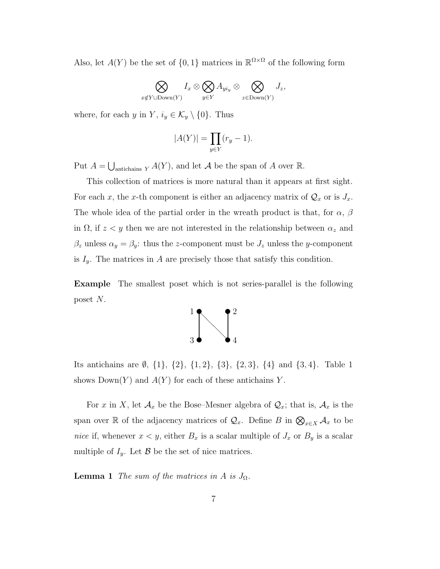Also, let  $A(Y)$  be the set of  $\{0,1\}$  matrices in  $\mathbb{R}^{\Omega\times\Omega}$  of the following form

$$
\bigotimes_{x \notin Y \cup \text{Down}(Y)} I_x \otimes \bigotimes_{y \in Y} A_{yi_y} \otimes \bigotimes_{z \in \text{Down}(Y)} J_z,
$$

where, for each y in Y,  $i_y \in \mathcal{K}_y \setminus \{0\}$ . Thus

$$
|A(Y)| = \prod_{y \in Y} (r_y - 1).
$$

Put  $A = \bigcup_{\text{antichains } Y} A(Y)$ , and let A be the span of A over R.

This collection of matrices is more natural than it appears at first sight. For each x, the x-th component is either an adjacency matrix of  $\mathcal{Q}_x$  or is  $J_x$ . The whole idea of the partial order in the wreath product is that, for  $\alpha$ ,  $\beta$ in  $\Omega$ , if  $z < y$  then we are not interested in the relationship between  $\alpha_z$  and  $\beta_z$  unless  $\alpha_y = \beta_y$ : thus the z-component must be  $J_z$  unless the y-component is  $I_y$ . The matrices in A are precisely those that satisfy this condition.

Example The smallest poset which is not series-parallel is the following poset N.



Its antichains are  $\emptyset$ ,  $\{1\}$ ,  $\{2\}$ ,  $\{1, 2\}$ ,  $\{3\}$ ,  $\{2, 3\}$ ,  $\{4\}$  and  $\{3, 4\}$ . Table 1 shows  $Down(Y)$  and  $A(Y)$  for each of these antichains Y.

For x in X, let  $\mathcal{A}_x$  be the Bose–Mesner algebra of  $\mathcal{Q}_x$ ; that is,  $\mathcal{A}_x$  is the span over R of the adjacency matrices of  $\mathcal{Q}_x$ . Define B in  $\bigotimes_{x \in X} \mathcal{A}_x$  to be nice if, whenever  $x < y$ , either  $B_x$  is a scalar multiple of  $J_x$  or  $B_y$  is a scalar multiple of  $I_y$ . Let  $\beta$  be the set of nice matrices.

**Lemma 1** The sum of the matrices in A is  $J_{\Omega}$ .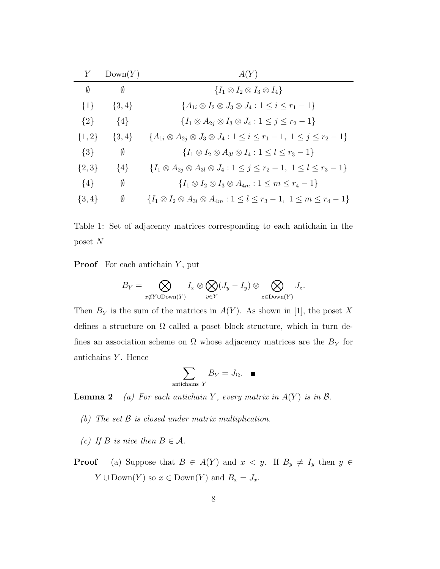|           | Down(Y)   | A(Y)                                                                                               |
|-----------|-----------|----------------------------------------------------------------------------------------------------|
| Ø         | Ø         | $\{I_1 \otimes I_2 \otimes I_3 \otimes I_4\}$                                                      |
| $\{1\}$   | $\{3,4\}$ | ${A_{1i} \otimes I_2 \otimes J_3 \otimes J_4 : 1 \leq i \leq r_1 - 1}$                             |
| $\{2\}$   | $\{4\}$   | $\{I_1 \otimes A_{2i} \otimes I_3 \otimes J_4 : 1 \leq j \leq r_2 - 1\}$                           |
| $\{1,2\}$ | $\{3,4\}$ | ${A_{1i} \otimes A_{2j} \otimes J_3 \otimes J_4 : 1 \leq i \leq r_1 - 1, 1 \leq j \leq r_2 - 1}$   |
| $\{3\}$   | Ø         | ${I_1 \otimes I_2 \otimes A_{3l} \otimes I_4 : 1 \leq l \leq r_3-1}$                               |
| $\{2,3\}$ | $\{4\}$   | ${I_1 \otimes A_{2j} \otimes A_{3l} \otimes J_4 : 1 \leq j \leq r_2 - 1, 1 \leq l \leq r_3 - 1}$   |
| $\{4\}$   | Ø         | $\{I_1 \otimes I_2 \otimes I_3 \otimes A_{4m} : 1 \leq m \leq r_4 - 1\}$                           |
| $\{3,4\}$ | Ø         | $\{I_1 \otimes I_2 \otimes A_{3l} \otimes A_{4m} : 1 \leq l \leq r_3 - 1, 1 \leq m \leq r_4 - 1\}$ |
|           |           |                                                                                                    |

Table 1: Set of adjacency matrices corresponding to each antichain in the poset N

**Proof** For each antichain  $Y$ , put

$$
B_Y = \bigotimes_{x \notin Y \cup \text{Down}(Y)} I_x \otimes \bigotimes_{y \in Y} (J_y - I_y) \otimes \bigotimes_{z \in \text{Down}(Y)} J_z.
$$

Then  $B_Y$  is the sum of the matrices in  $A(Y)$ . As shown in [1], the poset X defines a structure on  $\Omega$  called a poset block structure, which in turn defines an association scheme on  $\Omega$  whose adjacency matrices are the  $B<sub>Y</sub>$  for antichains  $Y$ . Hence

$$
\sum_{\text{antichains }Y} B_Y = J_{\Omega}. \quad \blacksquare
$$

**Lemma 2** (a) For each antichain Y, every matrix in  $A(Y)$  is in  $\mathcal{B}$ .

- (b) The set  $\beta$  is closed under matrix multiplication.
- (c) If B is nice then  $B \in \mathcal{A}$ .
- **Proof** (a) Suppose that  $B \in A(Y)$  and  $x < y$ . If  $B_y \neq I_y$  then  $y \in A(Y)$  $Y \cup \text{Down}(Y)$  so  $x \in \text{Down}(Y)$  and  $B_x = J_x$ .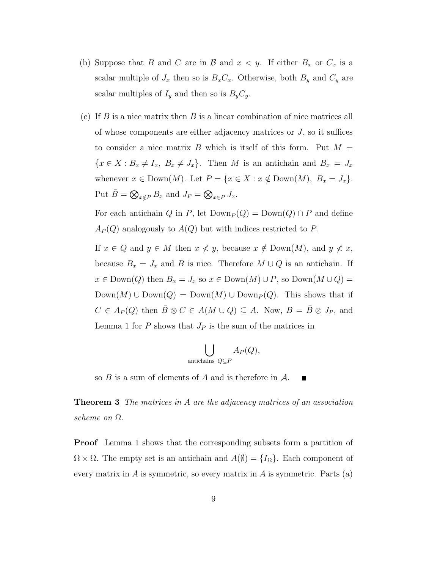- (b) Suppose that B and C are in B and  $x < y$ . If either  $B_x$  or  $C_x$  is a scalar multiple of  $J_x$  then so is  $B_xC_x$ . Otherwise, both  $B_y$  and  $C_y$  are scalar multiples of  $I_y$  and then so is  $B_yC_y$ .
- (c) If  $B$  is a nice matrix then  $B$  is a linear combination of nice matrices all of whose components are either adjacency matrices or  $J$ , so it suffices to consider a nice matrix B which is itself of this form. Put  $M =$  ${x \in X : B_x \neq I_x, B_x \neq J_x}.$  Then M is an antichain and  $B_x = J_x$ whenever  $x \in \text{Down}(M)$ . Let  $P = \{x \in X : x \notin \text{Down}(M), B_x = J_x\}.$ Put  $\bar{B} = \bigotimes_{x \notin P} B_x$  and  $J_P = \bigotimes_{x \in P} J_x$ .

For each antichain Q in P, let  $\text{Down}_P(Q) = \text{Down}(Q) \cap P$  and define  $A_P(Q)$  analogously to  $A(Q)$  but with indices restricted to P.

If  $x \in Q$  and  $y \in M$  then  $x \nless y$ , because  $x \notin \text{Down}(M)$ , and  $y \nless x$ , because  $B_x = J_x$  and B is nice. Therefore  $M \cup Q$  is an antichain. If  $x \in \text{Down}(Q)$  then  $B_x = J_x$  so  $x \in \text{Down}(M) \cup P$ , so  $\text{Down}(M \cup Q) =$  $\text{Down}(M) \cup \text{Down}(Q) = \text{Down}(M) \cup \text{Down}_P(Q)$ . This shows that if  $C \in A_P(Q)$  then  $\overline{B} \otimes C \in A(M \cup Q) \subseteq A$ . Now,  $B = \overline{B} \otimes J_P$ , and Lemma 1 for  $P$  shows that  $J_P$  is the sum of the matrices in

$$
\bigcup_{\text{antichains } Q \subseteq P} A_P(Q),
$$

so  $B$  is a sum of elements of  $A$  and is therefore in  $A$ .  $\blacksquare$ 

**Theorem 3** The matrices in A are the adjacency matrices of an association scheme on Ω.

**Proof** Lemma 1 shows that the corresponding subsets form a partition of  $\Omega \times \Omega$ . The empty set is an antichain and  $A(\emptyset) = \{I_{\Omega}\}\.$  Each component of every matrix in  $A$  is symmetric, so every matrix in  $A$  is symmetric. Parts (a)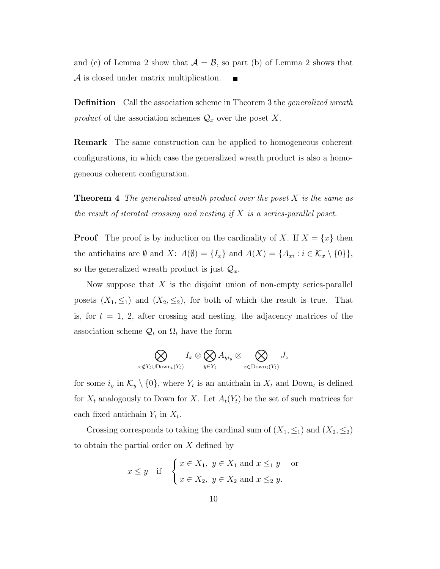and (c) of Lemma 2 show that  $A = \mathcal{B}$ , so part (b) of Lemma 2 shows that A is closed under matrix multiplication. П

**Definition** Call the association scheme in Theorem 3 the *generalized wreath* product of the association schemes  $\mathcal{Q}_x$  over the poset X.

Remark The same construction can be applied to homogeneous coherent configurations, in which case the generalized wreath product is also a homogeneous coherent configuration.

**Theorem 4** The generalized wreath product over the poset  $X$  is the same as the result of iterated crossing and nesting if  $X$  is a series-parallel poset.

**Proof** The proof is by induction on the cardinality of X. If  $X = \{x\}$  then the antichains are Ø and X:  $A(\emptyset) = \{I_x\}$  and  $A(X) = \{A_{xi} : i \in \mathcal{K}_x \setminus \{0\}\},\$ so the generalized wreath product is just  $\mathcal{Q}_x$ .

Now suppose that  $X$  is the disjoint union of non-empty series-parallel posets  $(X_1, \leq_1)$  and  $(X_2, \leq_2)$ , for both of which the result is true. That is, for  $t = 1, 2$ , after crossing and nesting, the adjacency matrices of the association scheme  $\mathcal{Q}_t$  on  $\Omega_t$  have the form

$$
\bigotimes_{x \notin Y_t \cup \mathrm{Down}_t(Y_t)} I_x \otimes \bigotimes_{y \in Y_t} A_{yi_y} \otimes \bigotimes_{z \in \mathrm{Down}_t(Y_t)} J_z
$$

for some  $i_y$  in  $\mathcal{K}_y \setminus \{0\}$ , where  $Y_t$  is an antichain in  $X_t$  and Down<sub>t</sub> is defined for  $X_t$  analogously to Down for X. Let  $A_t(Y_t)$  be the set of such matrices for each fixed antichain  $Y_t$  in  $X_t$ .

Crossing corresponds to taking the cardinal sum of  $(X_1, \leq_1)$  and  $(X_2, \leq_2)$ to obtain the partial order on  $X$  defined by

$$
x \le y
$$
 if  $\begin{cases} x \in X_1, y \in X_1 \text{ and } x \le_1 y \text{ or} \\ x \in X_2, y \in X_2 \text{ and } x \le_2 y. \end{cases}$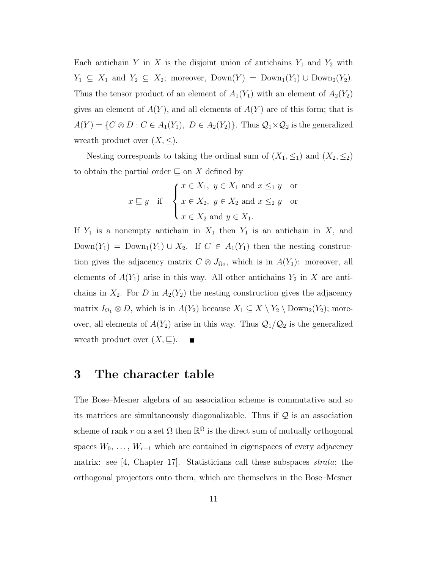Each antichain Y in X is the disjoint union of antichains  $Y_1$  and  $Y_2$  with  $Y_1 \subseteq X_1$  and  $Y_2 \subseteq X_2$ ; moreover,  $\text{Down}(Y) = \text{Down}_1(Y_1) \cup \text{Down}_2(Y_2)$ . Thus the tensor product of an element of  $A_1(Y_1)$  with an element of  $A_2(Y_2)$ gives an element of  $A(Y)$ , and all elements of  $A(Y)$  are of this form; that is  $A(Y) = \{C \otimes D : C \in A_1(Y_1), D \in A_2(Y_2)\}.$  Thus  $\mathcal{Q}_1 \times \mathcal{Q}_2$  is the generalized wreath product over  $(X, \leq)$ .

Nesting corresponds to taking the ordinal sum of  $(X_1, \leq_1)$  and  $(X_2, \leq_2)$ to obtain the partial order  $\sqsubseteq$  on X defined by

$$
x \sqsubseteq y \quad \text{if} \quad \begin{cases} x \in X_1, \ y \in X_1 \text{ and } x \leq_1 y \quad \text{or} \\ x \in X_2, \ y \in X_2 \text{ and } x \leq_2 y \quad \text{or} \\ x \in X_2 \text{ and } y \in X_1. \end{cases}
$$

If  $Y_1$  is a nonempty antichain in  $X_1$  then  $Y_1$  is an antichain in X, and  $Down(Y_1) = Down_1(Y_1) \cup X_2$ . If  $C \in A_1(Y_1)$  then the nesting construction gives the adjacency matrix  $C \otimes J_{\Omega_2}$ , which is in  $A(Y_1)$ : moreover, all elements of  $A(Y_1)$  arise in this way. All other antichains  $Y_2$  in X are antichains in  $X_2$ . For D in  $A_2(Y_2)$  the nesting construction gives the adjacency matrix  $I_{\Omega_1} \otimes D$ , which is in  $A(Y_2)$  because  $X_1 \subseteq X \setminus Y_2 \setminus \text{Down}_2(Y_2)$ ; moreover, all elements of  $A(Y_2)$  arise in this way. Thus  $\mathcal{Q}_1/\mathcal{Q}_2$  is the generalized wreath product over  $(X, \underline{\sqsubseteq}).$ 

#### 3 The character table

The Bose–Mesner algebra of an association scheme is commutative and so its matrices are simultaneously diagonalizable. Thus if  $\mathcal Q$  is an association scheme of rank r on a set  $\Omega$  then  $\mathbb{R}^{\Omega}$  is the direct sum of mutually orthogonal spaces  $W_0, \ldots, W_{r-1}$  which are contained in eigenspaces of every adjacency matrix: see [4, Chapter 17]. Statisticians call these subspaces *strata*; the orthogonal projectors onto them, which are themselves in the Bose–Mesner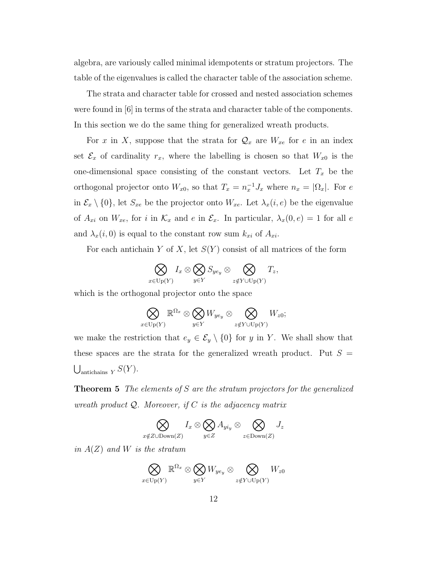algebra, are variously called minimal idempotents or stratum projectors. The table of the eigenvalues is called the character table of the association scheme.

The strata and character table for crossed and nested association schemes were found in [6] in terms of the strata and character table of the components. In this section we do the same thing for generalized wreath products.

For x in X, suppose that the strata for  $\mathcal{Q}_x$  are  $W_{xe}$  for e in an index set  $\mathcal{E}_x$  of cardinality  $r_x$ , where the labelling is chosen so that  $W_{x0}$  is the one-dimensional space consisting of the constant vectors. Let  $T_x$  be the orthogonal projector onto  $W_{x0}$ , so that  $T_x = n_x^{-1} J_x$  where  $n_x = |\Omega_x|$ . For e in  $\mathcal{E}_x \setminus \{0\}$ , let  $S_{xe}$  be the projector onto  $W_{xe}$ . Let  $\lambda_x(i, e)$  be the eigenvalue of  $A_{xi}$  on  $W_{xe}$ , for i in  $\mathcal{K}_x$  and e in  $\mathcal{E}_x$ . In particular,  $\lambda_x(0, e) = 1$  for all e and  $\lambda_x(i, 0)$  is equal to the constant row sum  $k_{xi}$  of  $A_{xi}$ .

For each antichain Y of X, let  $S(Y)$  consist of all matrices of the form

$$
\bigotimes_{x\in \mathrm{Up}(Y)} I_x \otimes \bigotimes_{y\in Y} S_{y e_y} \otimes \bigotimes_{z\notin Y \cup \mathrm{Up}(Y)} T_z,
$$

which is the orthogonal projector onto the space

$$
\bigotimes_{x \in \text{Up}(Y)} \mathbb{R}^{\Omega_x} \otimes \bigotimes_{y \in Y} W_{y e_y} \otimes \bigotimes_{z \notin Y \cup \text{Up}(Y)} W_{z0};
$$

we make the restriction that  $e_y \in \mathcal{E}_y \setminus \{0\}$  for y in Y. We shall show that these spaces are the strata for the generalized wreath product. Put  $S =$  $\bigcup_{\text{antichains } Y} S(Y).$ 

**Theorem 5** The elements of S are the stratum projectors for the generalized wreath product  $Q$ . Moreover, if C is the adjacency matrix

$$
\bigotimes_{x \notin Z \cup \text{Down}(Z)} I_x \otimes \bigotimes_{y \in Z} A_{y i_y} \otimes \bigotimes_{z \in \text{Down}(Z)} J_z
$$

in  $A(Z)$  and W is the stratum

$$
\bigotimes_{x\in \mathrm{Up}(Y)} \mathbb R^{\Omega_x}\otimes \bigotimes_{y\in Y} W_{y e_y}\otimes \bigotimes_{z\notin Y\cup \mathrm{Up}(Y)} W_{z0}
$$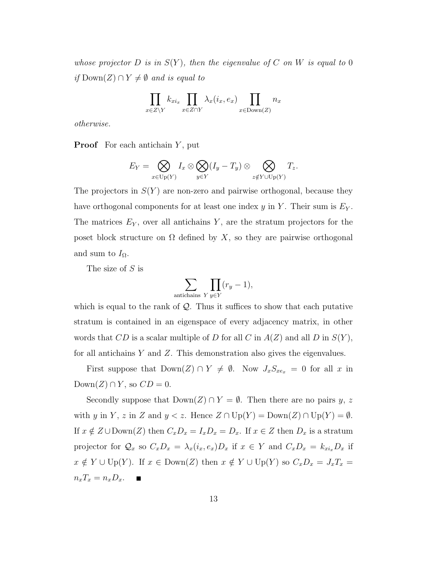whose projector D is in  $S(Y)$ , then the eigenvalue of C on W is equal to 0 *if* Down(*Z*) ∩  $Y \neq \emptyset$  *and is equal to* 

$$
\prod_{x \in Z \setminus Y} k_{x i_x} \prod_{x \in Z \cap Y} \lambda_x(i_x, e_x) \prod_{x \in \text{Down}(Z)} n_x
$$

otherwise.

**Proof** For each antichain  $Y$ , put

$$
E_Y = \bigotimes_{x \in \text{Up}(Y)} I_x \otimes \bigotimes_{y \in Y} (I_y - T_y) \otimes \bigotimes_{z \notin Y \cup \text{Up}(Y)} T_z.
$$

The projectors in  $S(Y)$  are non-zero and pairwise orthogonal, because they have orthogonal components for at least one index y in Y. Their sum is  $E_Y$ . The matrices  $E<sub>Y</sub>$ , over all antichains Y, are the stratum projectors for the poset block structure on  $\Omega$  defined by X, so they are pairwise orthogonal and sum to  $I_{\Omega}$ .

The size of S is

$$
\sum_{\text{antichains } Y} \prod_{y \in Y} (r_y - 1),
$$

which is equal to the rank of  $Q$ . Thus it suffices to show that each putative stratum is contained in an eigenspace of every adjacency matrix, in other words that CD is a scalar multiple of D for all C in  $A(Z)$  and all D in  $S(Y)$ , for all antichains  $Y$  and  $Z$ . This demonstration also gives the eigenvalues.

First suppose that  $\text{Down}(Z) \cap Y \neq \emptyset$ . Now  $J_xS_{xe_x} = 0$  for all x in  $\text{Down}(Z) \cap Y$ , so  $CD = 0$ .

Secondly suppose that  $\text{Down}(Z) \cap Y = \emptyset$ . Then there are no pairs y, z with y in Y, z in Z and  $y < z$ . Hence  $Z \cap \mathrm{Up}(Y) = \mathrm{Down}(Z) \cap \mathrm{Up}(Y) = \emptyset$ . If  $x \notin Z \cup \text{Down}(Z)$  then  $C_xD_x = I_xD_x = D_x$ . If  $x \in Z$  then  $D_x$  is a stratum projector for  $Q_x$  so  $C_xD_x = \lambda_x(i_x, e_x)D_x$  if  $x \in Y$  and  $C_xD_x = k_{xi_x}D_x$  if  $x \notin Y \cup \text{Up}(Y)$ . If  $x \in \text{Down}(Z)$  then  $x \notin Y \cup \text{Up}(Y)$  so  $C_xD_x = J_xT_x =$  $n_xT_x = n_xD_x.$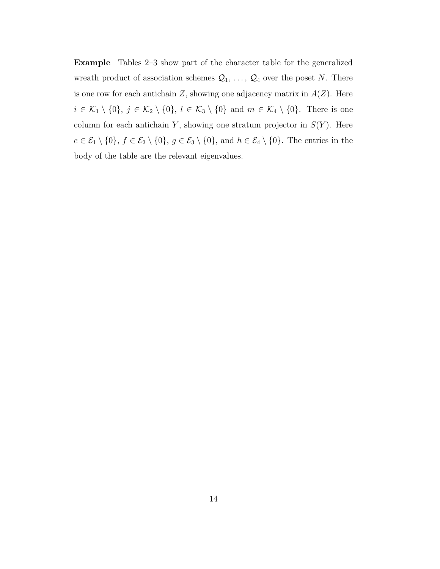Example Tables 2–3 show part of the character table for the generalized wreath product of association schemes  $\mathcal{Q}_1, \ldots, \mathcal{Q}_4$  over the poset N. There is one row for each antichain  $Z$ , showing one adjacency matrix in  $A(Z)$ . Here  $i \in \mathcal{K}_1 \setminus \{0\}, \, j \in \mathcal{K}_2 \setminus \{0\}, \, l \in \mathcal{K}_3 \setminus \{0\} \text{ and } m \in \mathcal{K}_4 \setminus \{0\}.$  There is one column for each antichain Y, showing one stratum projector in  $S(Y)$ . Here  $e \in \mathcal{E}_1 \setminus \{0\}, f \in \mathcal{E}_2 \setminus \{0\}, g \in \mathcal{E}_3 \setminus \{0\}, \text{ and } h \in \mathcal{E}_4 \setminus \{0\}.$  The entries in the body of the table are the relevant eigenvalues.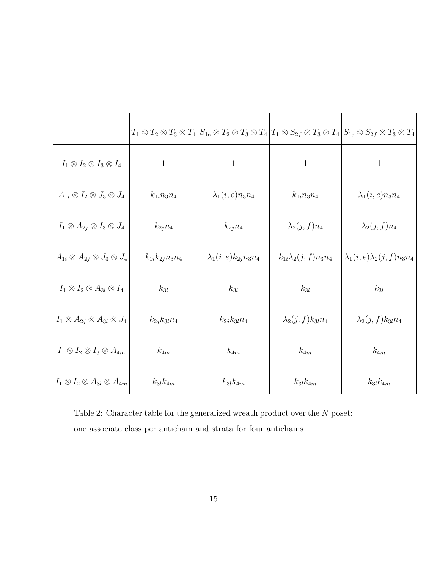|                                                 |                          |                              |                              | $T_1 \otimes T_2 \otimes T_3 \otimes T_4   S_{1e} \otimes T_2 \otimes T_3 \otimes T_4   T_1 \otimes S_{2f} \otimes T_3 \otimes T_4   S_{1e} \otimes S_{2f} \otimes T_3 \otimes T_4$ |
|-------------------------------------------------|--------------------------|------------------------------|------------------------------|-------------------------------------------------------------------------------------------------------------------------------------------------------------------------------------|
| $I_1 \otimes I_2 \otimes I_3 \otimes I_4$       | $\mathbf{1}$             | $\mathbf{1}$                 | $\mathbf{1}$                 | $\mathbf{1}$                                                                                                                                                                        |
| $A_{1i} \otimes I_2 \otimes J_3 \otimes J_4$    | $k_{1i}n_{3}n_{4}$       | $\lambda_1(i,e)n_3n_4$       | $k_{1i}n_3n_4$               | $\lambda_1(i,e)n_3n_4$                                                                                                                                                              |
| $I_1 \otimes A_{2j} \otimes I_3 \otimes J_4$    | $k_{2i}n_4$              | $k_{2j}n_4$                  | $\lambda_2(j,f)n_4$          | $\lambda_2(j,f)n_4$                                                                                                                                                                 |
| $A_{1i} \otimes A_{2j} \otimes J_3 \otimes J_4$ | $k_{1i}k_{2j}n_{3}n_{4}$ | $\lambda_1(i,e)k_{2j}n_3n_4$ | $k_{1i}\lambda_2(j,f)n_3n_4$ | $\lambda_1(i,e)\lambda_2(j,f)n_3n_4$                                                                                                                                                |
| $I_1 \otimes I_2 \otimes A_{3l} \otimes I_4$    | $k_{3l}$                 | $k_{3l}$                     | $k_{3l}$                     | $k_{3l}$                                                                                                                                                                            |
| $I_1 \otimes A_{2j} \otimes A_{3l} \otimes J_4$ | $k_{2j}k_{3l}n_4$        | $k_{2j}k_{3l}n_4$            | $\lambda_2(j,f)k_{3l}n_4$    | $\lambda_2(j,f)k_{3l}n_4$                                                                                                                                                           |
| $I_1 \otimes I_2 \otimes I_3 \otimes A_{4m}$    | $k_{4m}$                 | $k_{4m}$                     | $k_{4m}$                     | $k_{4m}$                                                                                                                                                                            |
| $I_1 \otimes I_2 \otimes A_{3l} \otimes A_{4m}$ | $k_{3l}k_{4m}$           | $k_{3l}k_{4m}$               | $k_{3l}k_{4m}$               | $k_{3l}k_{4m}$                                                                                                                                                                      |

Table 2: Character table for the generalized wreath product over the  $\cal N$  poset: one associate class per antichain and strata for four antichains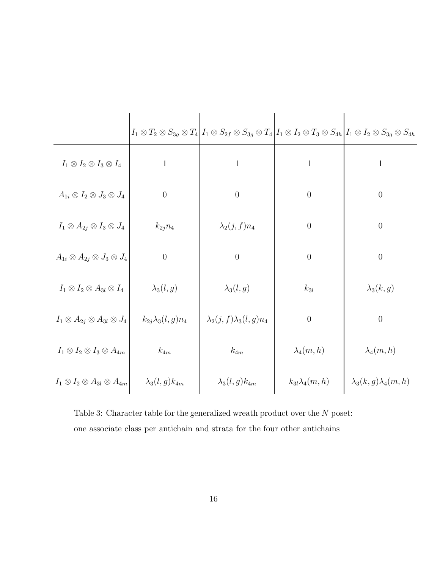|                                                 |                           | $I_1 \otimes T_2 \otimes S_{3g} \otimes T_4   I_1 \otimes S_{2f} \otimes S_{3g} \otimes T_4   I_1 \otimes I_2 \otimes T_3 \otimes S_{4h}   I_1 \otimes I_2 \otimes S_{3g} \otimes S_{4h}$ |                        |                                |
|-------------------------------------------------|---------------------------|-------------------------------------------------------------------------------------------------------------------------------------------------------------------------------------------|------------------------|--------------------------------|
| $I_1 \otimes I_2 \otimes I_3 \otimes I_4$       | $\mathbf{1}$              | $\mathbf{1}$                                                                                                                                                                              | $\mathbf{1}$           | $\mathbf{1}$                   |
| $A_{1i} \otimes I_2 \otimes J_3 \otimes J_4$    | $\boldsymbol{0}$          | $\theta$                                                                                                                                                                                  | $\theta$               | $\boldsymbol{0}$               |
| $I_1 \otimes A_{2j} \otimes I_3 \otimes J_4$    | $k_{2j}n_4$               | $\lambda_2(j,f)n_4$                                                                                                                                                                       | $\theta$               | $\boldsymbol{0}$               |
| $A_{1i} \otimes A_{2j} \otimes J_3 \otimes J_4$ | $\boldsymbol{0}$          | $\theta$                                                                                                                                                                                  | $\theta$               | $\boldsymbol{0}$               |
| $I_1 \otimes I_2 \otimes A_{3l} \otimes I_4$    | $\lambda_3(l,g)$          | $\lambda_3(l,g)$                                                                                                                                                                          | $k_{3l}$               | $\lambda_3(k,g)$               |
| $I_1 \otimes A_{2j} \otimes A_{3l} \otimes J_4$ | $k_{2i}\lambda_3(l,g)n_4$ | $\lambda_2(j, f) \lambda_3(l, g) n_4$                                                                                                                                                     | $\theta$               | $\theta$                       |
| $I_1 \otimes I_2 \otimes I_3 \otimes A_{4m}$    | $k_{4m}$                  | $k_{4m}$                                                                                                                                                                                  | $\lambda_4(m,h)$       | $\lambda_4(m,h)$               |
| $I_1 \otimes I_2 \otimes A_{3l} \otimes A_{4m}$ | $\lambda_3(l,g)k_{4m}$    | $\lambda_3(l,g)k_{4m}$                                                                                                                                                                    | $k_{3l}\lambda_4(m,h)$ | $\lambda_3(k,g)\lambda_4(m,h)$ |

Table 3: Character table for the generalized wreath product over the  $N$  poset: one associate class per antichain and strata for the four other antichains